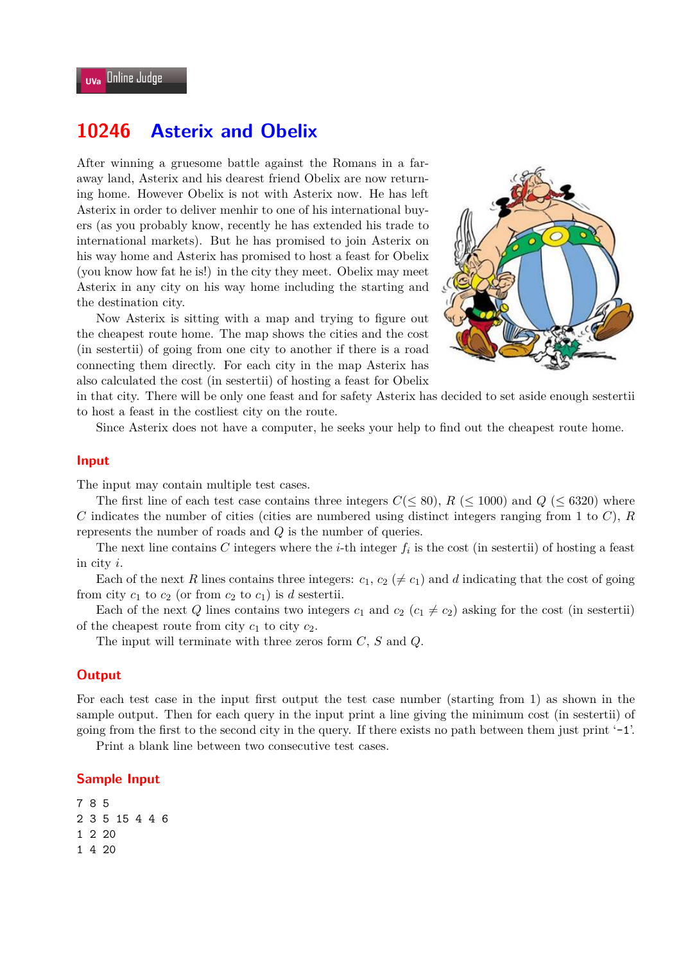# **10246 Asterix and Obelix**

After winning a gruesome battle against the Romans in a faraway land, Asterix and his dearest friend Obelix are now returning home. However Obelix is not with Asterix now. He has left Asterix in order to deliver menhir to one of his international buyers (as you probably know, recently he has extended his trade to international markets). But he has promised to join Asterix on his way home and Asterix has promised to host a feast for Obelix (you know how fat he is!) in the city they meet. Obelix may meet Asterix in any city on his way home including the starting and the destination city.

Now Asterix is sitting with a map and trying to figure out the cheapest route home. The map shows the cities and the cost (in sestertii) of going from one city to another if there is a road connecting them directly. For each city in the map Asterix has also calculated the cost (in sestertii) of hosting a feast for Obelix



in that city. There will be only one feast and for safety Asterix has decided to set aside enough sestertii to host a feast in the costliest city on the route.

Since Asterix does not have a computer, he seeks your help to find out the cheapest route home.

#### **Input**

The input may contain multiple test cases.

The first line of each test case contains three integers  $C(\leq 80)$ ,  $R \leq 1000$  and  $Q \leq 6320$  where *C* indicates the number of cities (cities are numbered using distinct integers ranging from 1 to *C*), *R* represents the number of roads and *Q* is the number of queries.

The next line contains  $C$  integers where the *i*-th integer  $f_i$  is the cost (in sestertii) of hosting a feast in city *i*.

Each of the next *R* lines contains three integers:  $c_1, c_2 \ (\neq c_1)$  and *d* indicating that the cost of going from city  $c_1$  to  $c_2$  (or from  $c_2$  to  $c_1$ ) is *d* sestertii.

Each of the next *Q* lines contains two integers  $c_1$  and  $c_2$  ( $c_1 \neq c_2$ ) asking for the cost (in sestertii) of the cheapest route from city  $c_1$  to city  $c_2$ .

The input will terminate with three zeros form *C*, *S* and *Q*.

### **Output**

For each test case in the input first output the test case number (starting from 1) as shown in the sample output. Then for each query in the input print a line giving the minimum cost (in sestertii) of going from the first to the second city in the query. If there exists no path between them just print '-1'.

Print a blank line between two consecutive test cases.

#### **Sample Input**

7 8 5 2 3 5 15 4 4 6 1 2 20 1 4 20